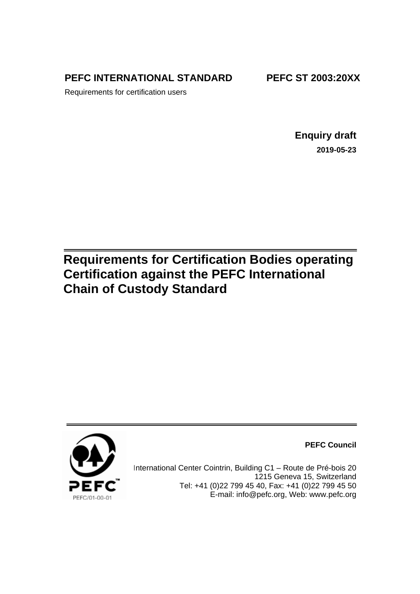**PEFC INTERNATIONAL STANDARD**

**PEFC ST 2003:20XX**

Requirements for certification users

**Enquiry draft 2019-05-23**

# **Requirements for Certification Bodies operating Certification against the PEFC International Chain of Custody Standard**



**PEFC Council**

International Center Cointrin, Building C1 – Route de Pré-bois 20 1215 Geneva 15, Switzerland Tel: +41 (0)22 799 45 40, Fax: +41 (0)22 799 45 50 E-mail: [info@pefc.org,](mailto:info@pefc.org) Web: [www.pefc.org](http://www.pefc.org/)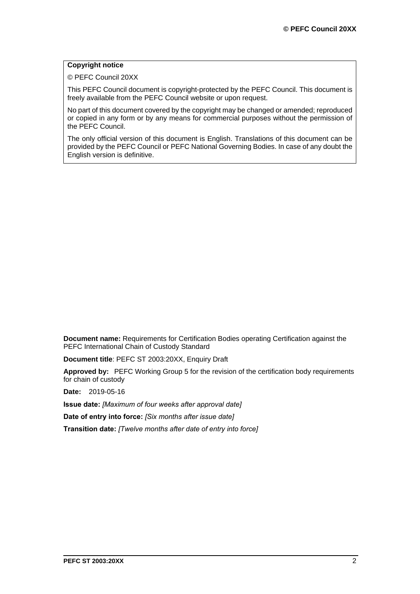# **Copyright notice**

© PEFC Council 20XX

This PEFC Council document is copyright-protected by the PEFC Council. This document is freely available from the PEFC Council website or upon request.

No part of this document covered by the copyright may be changed or amended; reproduced or copied in any form or by any means for commercial purposes without the permission of the PEFC Council.

The only official version of this document is English. Translations of this document can be provided by the PEFC Council or PEFC National Governing Bodies. In case of any doubt the English version is definitive.

**Document name:** Requirements for Certification Bodies operating Certification against the PEFC International Chain of Custody Standard

**Document title**: PEFC ST 2003:20XX, Enquiry Draft

**Approved by:** PEFC Working Group 5 for the revision of the certification body requirements for chain of custody

**Date:** 2019-05-16

**Issue date:** *[Maximum of four weeks after approval date]*

**Date of entry into force:** *[Six months after issue date]*

**Transition date:** *[Twelve months after date of entry into force]*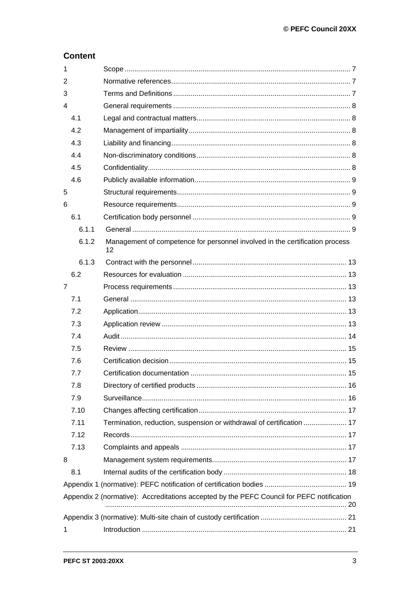# **Content**

| 1              |                                                                                           |                                                                                    |  |  |  |  |  |
|----------------|-------------------------------------------------------------------------------------------|------------------------------------------------------------------------------------|--|--|--|--|--|
| 2              |                                                                                           |                                                                                    |  |  |  |  |  |
| 3              |                                                                                           |                                                                                    |  |  |  |  |  |
| 4              |                                                                                           |                                                                                    |  |  |  |  |  |
|                | 4.1                                                                                       |                                                                                    |  |  |  |  |  |
|                | 4.2                                                                                       |                                                                                    |  |  |  |  |  |
|                | 4.3                                                                                       |                                                                                    |  |  |  |  |  |
|                | 4.4                                                                                       |                                                                                    |  |  |  |  |  |
|                | 4.5                                                                                       |                                                                                    |  |  |  |  |  |
|                | 4.6                                                                                       |                                                                                    |  |  |  |  |  |
| 5              |                                                                                           |                                                                                    |  |  |  |  |  |
| 6              |                                                                                           |                                                                                    |  |  |  |  |  |
|                | 6.1                                                                                       |                                                                                    |  |  |  |  |  |
|                | 6.1.1                                                                                     |                                                                                    |  |  |  |  |  |
|                | 6.1.2                                                                                     | Management of competence for personnel involved in the certification process<br>12 |  |  |  |  |  |
|                | 6.1.3                                                                                     |                                                                                    |  |  |  |  |  |
|                | 6.2                                                                                       |                                                                                    |  |  |  |  |  |
| $\overline{7}$ |                                                                                           |                                                                                    |  |  |  |  |  |
|                | 7.1                                                                                       |                                                                                    |  |  |  |  |  |
|                | 7.2                                                                                       |                                                                                    |  |  |  |  |  |
|                | 7.3                                                                                       |                                                                                    |  |  |  |  |  |
|                | 7.4                                                                                       |                                                                                    |  |  |  |  |  |
|                | 7.5                                                                                       |                                                                                    |  |  |  |  |  |
|                | 7.6                                                                                       |                                                                                    |  |  |  |  |  |
|                | 7.7                                                                                       |                                                                                    |  |  |  |  |  |
|                | 7.8                                                                                       |                                                                                    |  |  |  |  |  |
|                | 7.9                                                                                       |                                                                                    |  |  |  |  |  |
|                | 7.10                                                                                      |                                                                                    |  |  |  |  |  |
|                | 7.11                                                                                      | Termination, reduction, suspension or withdrawal of certification  17              |  |  |  |  |  |
|                | 7.12                                                                                      |                                                                                    |  |  |  |  |  |
|                | 7.13                                                                                      |                                                                                    |  |  |  |  |  |
| 8              |                                                                                           |                                                                                    |  |  |  |  |  |
|                | 8.1                                                                                       |                                                                                    |  |  |  |  |  |
|                |                                                                                           |                                                                                    |  |  |  |  |  |
|                | Appendix 2 (normative): Accreditations accepted by the PEFC Council for PEFC notification |                                                                                    |  |  |  |  |  |
|                |                                                                                           |                                                                                    |  |  |  |  |  |
| $\mathbf 1$    |                                                                                           |                                                                                    |  |  |  |  |  |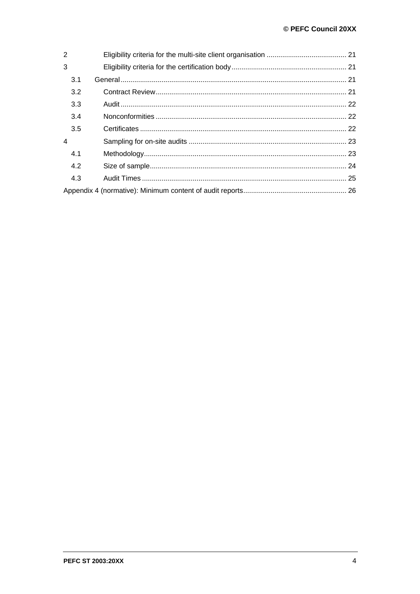| 2              |     |  |  |  |  |
|----------------|-----|--|--|--|--|
| 3              |     |  |  |  |  |
|                | 3.1 |  |  |  |  |
|                | 3.2 |  |  |  |  |
|                | 3.3 |  |  |  |  |
|                | 3.4 |  |  |  |  |
|                | 3.5 |  |  |  |  |
| $\overline{4}$ |     |  |  |  |  |
|                | 4.1 |  |  |  |  |
|                | 4.2 |  |  |  |  |
|                | 4.3 |  |  |  |  |
|                |     |  |  |  |  |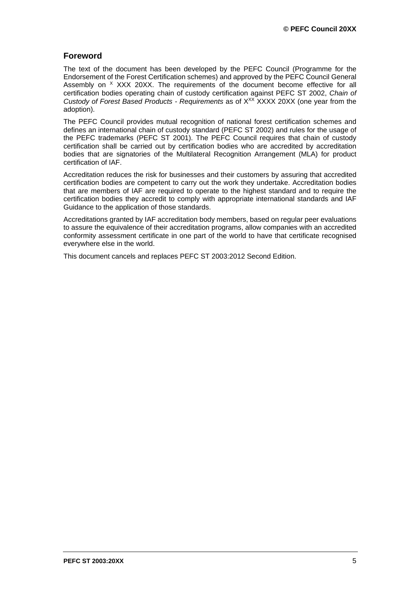# **Foreword**

The text of the document has been developed by the PEFC Council (Programme for the Endorsement of the Forest Certification schemes) and approved by the PEFC Council General Assembly on  $X$  XXX 20XX. The requirements of the document become effective for all certification bodies operating chain of custody certification against PEFC ST 2002, *Chain of Custody of Forest Based Products - Requirements* as of XXX XXXX 20XX (one year from the adoption).

The PEFC Council provides mutual recognition of national forest certification schemes and defines an international chain of custody standard (PEFC ST 2002) and rules for the usage of the PEFC trademarks (PEFC ST 2001). The PEFC Council requires that chain of custody certification shall be carried out by certification bodies who are accredited by accreditation bodies that are signatories of the Multilateral Recognition Arrangement (MLA) for product certification of IAF.

Accreditation reduces the risk for businesses and their customers by assuring that accredited certification bodies are competent to carry out the work they undertake. Accreditation bodies that are members of IAF are required to operate to the highest standard and to require the certification bodies they accredit to comply with appropriate international standards and IAF Guidance to the application of those standards.

Accreditations granted by IAF accreditation body members, based on regular peer evaluations to assure the equivalence of their accreditation programs, allow companies with an accredited conformity assessment certificate in one part of the world to have that certificate recognised everywhere else in the world.

This document cancels and replaces PEFC ST 2003:2012 Second Edition.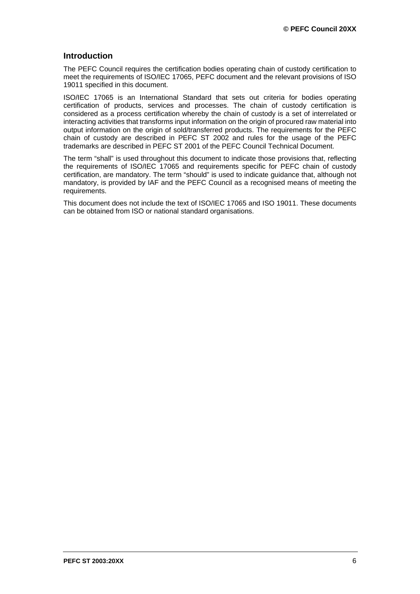# **Introduction**

The PEFC Council requires the certification bodies operating chain of custody certification to meet the requirements of ISO/IEC 17065, PEFC document and the relevant provisions of ISO 19011 specified in this document.

ISO/IEC 17065 is an International Standard that sets out criteria for bodies operating certification of products, services and processes. The chain of custody certification is considered as a process certification whereby the chain of custody is a set of interrelated or interacting activities that transforms input information on the origin of procured raw material into output information on the origin of sold/transferred products. The requirements for the PEFC chain of custody are described in PEFC ST 2002 and rules for the usage of the PEFC trademarks are described in PEFC ST 2001 of the PEFC Council Technical Document.

The term "shall" is used throughout this document to indicate those provisions that, reflecting the requirements of ISO/IEC 17065 and requirements specific for PEFC chain of custody certification, are mandatory. The term "should" is used to indicate guidance that, although not mandatory, is provided by IAF and the PEFC Council as a recognised means of meeting the requirements.

This document does not include the text of ISO/IEC 17065 and ISO 19011. These documents can be obtained from ISO or national standard organisations.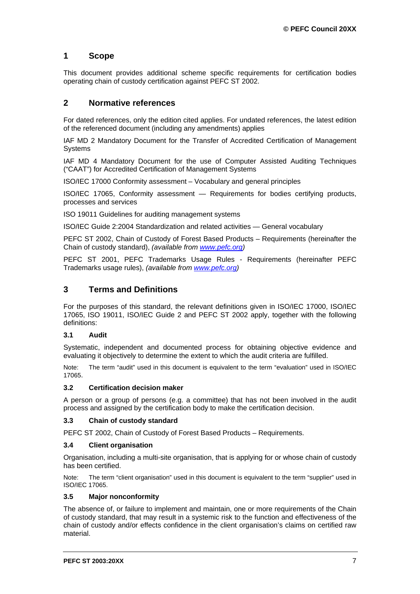# <span id="page-6-0"></span>**1 Scope**

This document provides additional scheme specific requirements for certification bodies operating chain of custody certification against PEFC ST 2002.

# <span id="page-6-1"></span>**2 Normative references**

For dated references, only the edition cited applies. For undated references, the latest edition of the referenced document (including any amendments) applies

IAF MD 2 Mandatory Document for the Transfer of Accredited Certification of Management Systems

IAF MD 4 Mandatory Document for the use of Computer Assisted Auditing Techniques ("CAAT") for Accredited Certification of Management Systems

ISO/IEC 17000 Conformity assessment – Vocabulary and general principles

ISO/IEC 17065, Conformity assessment — Requirements for bodies certifying products, processes and services

ISO 19011 Guidelines for auditing management systems

ISO/IEC Guide 2:2004 Standardization and related activities — General vocabulary

PEFC ST 2002, Chain of Custody of Forest Based Products – Requirements (hereinafter the Chain of custody standard), *(available from [www.pefc.org\)](http://www.pefc.org/)*

PEFC ST 2001, PEFC Trademarks Usage Rules - Requirements (hereinafter PEFC Trademarks usage rules), *(available from [www.pefc.org\)](http://www.pefc.org/)*

# <span id="page-6-2"></span>**3 Terms and Definitions**

For the purposes of this standard, the relevant definitions given in ISO/IEC 17000, ISO/IEC 17065, ISO 19011, ISO/IEC Guide 2 and PEFC ST 2002 apply, together with the following definitions:

# **3.1 Audit**

Systematic, independent and documented process for obtaining objective evidence and evaluating it objectively to determine the extent to which the audit criteria are fulfilled.

Note: The term "audit" used in this document is equivalent to the term "evaluation" used in ISO/IEC 17065.

#### **3.2 Certification decision maker**

A person or a group of persons (e.g. a committee) that has not been involved in the audit process and assigned by the certification body to make the certification decision.

#### **3.3 Chain of custody standard**

PEFC ST 2002, Chain of Custody of Forest Based Products – Requirements.

#### **3.4 Client organisation**

Organisation, including a multi-site organisation, that is applying for or whose chain of custody has been certified.

Note: The term "client organisation" used in this document is equivalent to the term "supplier" used in ISO/IEC 17065.

#### **3.5 Major nonconformity**

The absence of, or failure to implement and maintain, one or more requirements of the Chain of custody standard, that may result in a systemic risk to the function and effectiveness of the chain of custody and/or effects confidence in the client organisation's claims on certified raw material.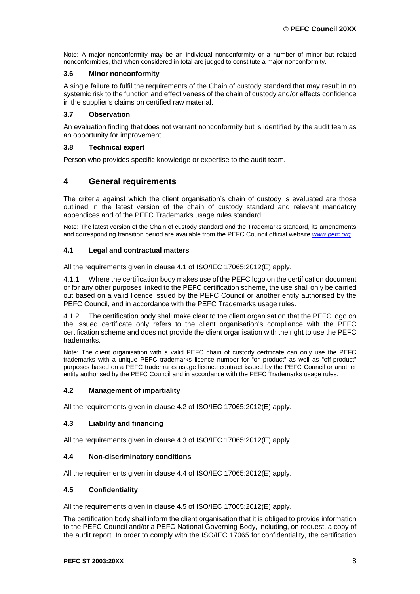Note: A major nonconformity may be an individual nonconformity or a number of minor but related nonconformities, that when considered in total are judged to constitute a major nonconformity.

#### **3.6 Minor nonconformity**

A single failure to fulfil the requirements of the Chain of custody standard that may result in no systemic risk to the function and effectiveness of the chain of custody and/or effects confidence in the supplier's claims on certified raw material.

### **3.7 Observation**

An evaluation finding that does not warrant nonconformity but is identified by the audit team as an opportunity for improvement.

#### **3.8 Technical expert**

Person who provides specific knowledge or expertise to the audit team.

# <span id="page-7-0"></span>**4 General requirements**

The criteria against which the client organisation's chain of custody is evaluated are those outlined in the latest version of the chain of custody standard and relevant mandatory appendices and of the PEFC Trademarks usage rules standard.

Note: The latest version of the Chain of custody standard and the Trademarks standard, its amendments and corresponding transition period are available from the PEFC Council official website *[www.pefc.org](http://www.pefc.org/)*.

# <span id="page-7-1"></span>**4.1 Legal and contractual matters**

All the requirements given in clause 4.1 of ISO/IEC 17065:2012(E) apply.

4.1.1 Where the certification body makes use of the PEFC logo on the certification document or for any other purposes linked to the PEFC certification scheme, the use shall only be carried out based on a valid licence issued by the PEFC Council or another entity authorised by the PEFC Council, and in accordance with the PEFC Trademarks usage rules.

4.1.2 The certification body shall make clear to the client organisation that the PEFC logo on the issued certificate only refers to the client organisation's compliance with the PEFC certification scheme and does not provide the client organisation with the right to use the PEFC trademarks.

Note: The client organisation with a valid PEFC chain of custody certificate can only use the PEFC trademarks with a unique PEFC trademarks licence number for "on-product" as well as "off-product" purposes based on a PEFC trademarks usage licence contract issued by the PEFC Council or another entity authorised by the PEFC Council and in accordance with the PEFC Trademarks usage rules.

# <span id="page-7-2"></span>**4.2 Management of impartiality**

All the requirements given in clause 4.2 of ISO/IEC 17065:2012(E) apply.

# <span id="page-7-3"></span>**4.3 Liability and financing**

All the requirements given in clause 4.3 of ISO/IEC 17065:2012(E) apply.

#### <span id="page-7-4"></span>**4.4 Non-discriminatory conditions**

All the requirements given in clause 4.4 of ISO/IEC 17065:2012(E) apply.

#### <span id="page-7-5"></span>**4.5 Confidentiality**

All the requirements given in clause 4.5 of ISO/IEC 17065:2012(E) apply.

The certification body shall inform the client organisation that it is obliged to provide information to the PEFC Council and/or a PEFC National Governing Body, including, on request, a copy of the audit report. In order to comply with the ISO/IEC 17065 for confidentiality, the certification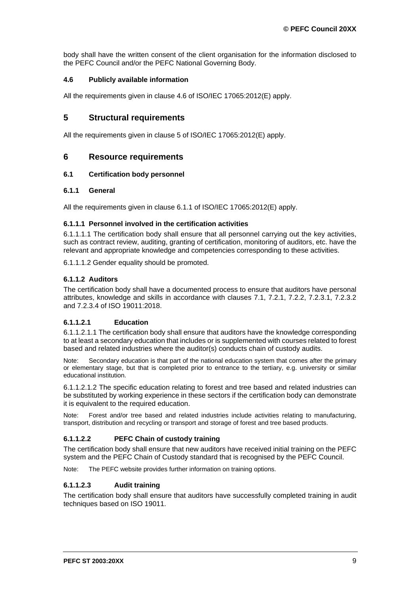body shall have the written consent of the client organisation for the information disclosed to the PEFC Council and/or the PEFC National Governing Body.

### <span id="page-8-0"></span>**4.6 Publicly available information**

All the requirements given in clause 4.6 of ISO/IEC 17065:2012(E) apply.

# <span id="page-8-1"></span>**5 Structural requirements**

All the requirements given in clause 5 of ISO/IEC 17065:2012(E) apply.

# <span id="page-8-2"></span>**6 Resource requirements**

### <span id="page-8-3"></span>**6.1 Certification body personnel**

#### <span id="page-8-4"></span>**6.1.1 General**

All the requirements given in clause 6.1.1 of ISO/IEC 17065:2012(E) apply.

#### **6.1.1.1 Personnel involved in the certification activities**

6.1.1.1.1 The certification body shall ensure that all personnel carrying out the key activities, such as contract review, auditing, granting of certification, monitoring of auditors, etc. have the relevant and appropriate knowledge and competencies corresponding to these activities.

6.1.1.1.2 Gender equality should be promoted.

# **6.1.1.2 Auditors**

The certification body shall have a documented process to ensure that auditors have personal attributes, knowledge and skills in accordance with clauses 7.1, 7.2.1, 7.2.2, 7.2.3.1, 7.2.3.2 and 7.2.3.4 of ISO 19011:2018.

# **6.1.1.2.1 Education**

6.1.1.2.1.1 The certification body shall ensure that auditors have the knowledge corresponding to at least a secondary education that includes or is supplemented with courses related to forest based and related industries where the auditor(s) conducts chain of custody audits.

Note: Secondary education is that part of the national education system that comes after the primary or elementary stage, but that is completed prior to entrance to the tertiary, e.g. university or similar educational institution.

6.1.1.2.1.2 The specific education relating to forest and tree based and related industries can be substituted by working experience in these sectors if the certification body can demonstrate it is equivalent to the required education.

Note: Forest and/or tree based and related industries include activities relating to manufacturing, transport, distribution and recycling or transport and storage of forest and tree based products.

# **6.1.1.2.2 PEFC Chain of custody training**

The certification body shall ensure that new auditors have received initial training on the PEFC system and the PEFC Chain of Custody standard that is recognised by the PEFC Council.

Note: The PEFC website provides further information on training options.

# **6.1.1.2.3 Audit training**

The certification body shall ensure that auditors have successfully completed training in audit techniques based on ISO 19011.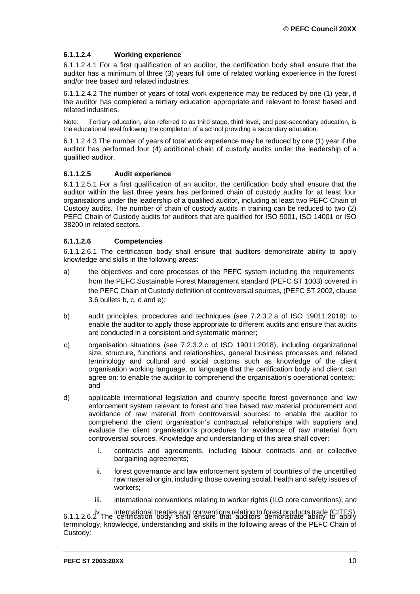# **6.1.1.2.4 Working experience**

6.1.1.2.4.1 For a first qualification of an auditor, the certification body shall ensure that the auditor has a minimum of three (3) years full time of related working experience in the forest and/or tree based and related industries.

6.1.1.2.4.2 The number of years of total work experience may be reduced by one (1) year, if the auditor has completed a tertiary education appropriate and relevant to forest based and related industries.

Note: Tertiary education, also referred to as third stage, third level, and post-secondary education, is the educational level following the completion of a school providing a secondary education.

6.1.1.2.4.3 The number of years of total work experience may be reduced by one (1) year if the auditor has performed four (4) additional chain of custody audits under the leadership of a qualified auditor.

### **6.1.1.2.5 Audit experience**

6.1.1.2.5.1 For a first qualification of an auditor, the certification body shall ensure that the auditor within the last three years has performed chain of custody audits for at least four organisations under the leadership of a qualified auditor, including at least two PEFC Chain of Custody audits. The number of chain of custody audits in training can be reduced to two (2) PEFC Chain of Custody audits for auditors that are qualified for ISO 9001, ISO 14001 or ISO 38200 in related sectors.

#### **6.1.1.2.6 Competencies**

6.1.1.2.6.1 The certification body shall ensure that auditors demonstrate ability to apply knowledge and skills in the following areas:

- a) the objectives and core processes of the PEFC system including the requirements from the PEFC Sustainable Forest Management standard (PEFC ST 1003) covered in the PEFC Chain of Custody definition of controversial sources, (PEFC ST 2002, clause 3.6 bullets b, c, d and e);
- b) audit principles, procedures and techniques (see 7.2.3.2.a of ISO 19011:2018): to enable the auditor to apply those appropriate to different audits and ensure that audits are conducted in a consistent and systematic manner;
- c) organisation situations (see 7.2.3.2.c of ISO 19011:2018), including organizational size, structure, functions and relationships, general business processes and related terminology and cultural and social customs such as knowledge of the client organisation working language, or language that the certification body and client can agree on: to enable the auditor to comprehend the organisation's operational context; and
- d) applicable international legislation and country specific forest governance and law enforcement system relevant to forest and tree based raw material procurement and avoidance of raw material from controversial sources: to enable the auditor to comprehend the client organisation's contractual relationships with suppliers and evaluate the client organisation's procedures for avoidance of raw material from controversial sources. Knowledge and understanding of this area shall cover:
	- i. contracts and agreements, including labour contracts and or collective bargaining agreements;
	- ii. forest governance and law enforcement system of countries of the uncertified raw material origin, including those covering social, health and safety issues of workers;
	- iii. international conventions relating to worker rights (ILO core conventions); and

iv. international treaties and conventions relating to forest products trade (CITES). 6.1.1.2.6.2 The certification body shall ensure that auditors demonstrate ability to apply terminology, knowledge, understanding and skills in the following areas of the PEFC Chain of Custody: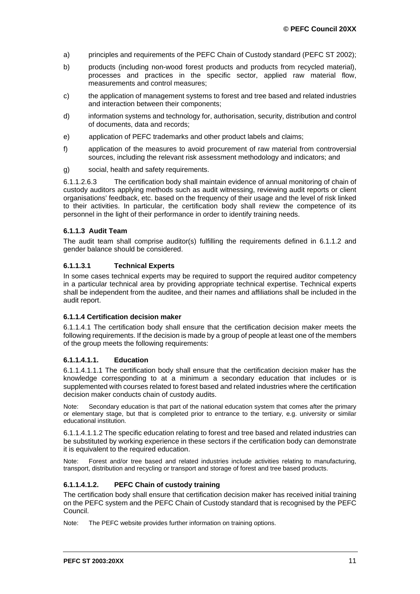- a) principles and requirements of the PEFC Chain of Custody standard (PEFC ST 2002);
- b) products (including non-wood forest products and products from recycled material), processes and practices in the specific sector, applied raw material flow, measurements and control measures;
- c) the application of management systems to forest and tree based and related industries and interaction between their components;
- d) information systems and technology for, authorisation, security, distribution and control of documents, data and records;
- e) application of PEFC trademarks and other product labels and claims;
- f) application of the measures to avoid procurement of raw material from controversial sources, including the relevant risk assessment methodology and indicators; and
- g) social, health and safety requirements.

6.1.1.2.6.3 The certification body shall maintain evidence of annual monitoring of chain of custody auditors applying methods such as audit witnessing, reviewing audit reports or client organisations' feedback, etc. based on the frequency of their usage and the level of risk linked to their activities. In particular, the certification body shall review the competence of its personnel in the light of their performance in order to identify training needs.

#### **6.1.1.3 Audit Team**

The audit team shall comprise auditor(s) fulfilling the requirements defined in 6.1.1.2 and gender balance should be considered.

# **6.1.1.3.1 Technical Experts**

In some cases technical experts may be required to support the required auditor competency in a particular technical area by providing appropriate technical expertise. Technical experts shall be independent from the auditee, and their names and affiliations shall be included in the audit report.

#### **6.1.1.4 Certification decision maker**

6.1.1.4.1 The certification body shall ensure that the certification decision maker meets the following requirements. If the decision is made by a group of people at least one of the members of the group meets the following requirements:

#### **6.1.1.4.1.1. Education**

6.1.1.4.1.1.1 The certification body shall ensure that the certification decision maker has the knowledge corresponding to at a minimum a secondary education that includes or is supplemented with courses related to forest based and related industries where the certification decision maker conducts chain of custody audits.

Note: Secondary education is that part of the national education system that comes after the primary or elementary stage, but that is completed prior to entrance to the tertiary, e.g. university or similar educational institution.

6.1.1.4.1.1.2 The specific education relating to forest and tree based and related industries can be substituted by working experience in these sectors if the certification body can demonstrate it is equivalent to the required education.

Note: Forest and/or tree based and related industries include activities relating to manufacturing, transport, distribution and recycling or transport and storage of forest and tree based products.

# **6.1.1.4.1.2. PEFC Chain of custody training**

The certification body shall ensure that certification decision maker has received initial training on the PEFC system and the PEFC Chain of Custody standard that is recognised by the PEFC Council.

Note: The PEFC website provides further information on training options.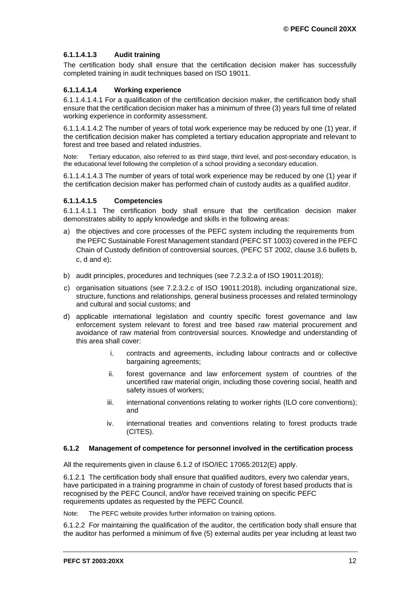# **6.1.1.4.1.3 Audit training**

The certification body shall ensure that the certification decision maker has successfully completed training in audit techniques based on ISO 19011.

# **6.1.1.4.1.4 Working experience**

6.1.1.4.1.4.1 For a qualification of the certification decision maker, the certification body shall ensure that the certification decision maker has a minimum of three (3) years full time of related working experience in conformity assessment.

6.1.1.4.1.4.2 The number of years of total work experience may be reduced by one (1) year, if the certification decision maker has completed a tertiary education appropriate and relevant to forest and tree based and related industries.

Note: Tertiary education, also referred to as third stage, third level, and post-secondary education, is the educational level following the completion of a school providing a secondary education.

6.1.1.4.1.4.3 The number of years of total work experience may be reduced by one (1) year if the certification decision maker has performed chain of custody audits as a qualified auditor.

#### **6.1.1.4.1.5 Competencies**

6.1.1.4.1.1 The certification body shall ensure that the certification decision maker demonstrates ability to apply knowledge and skills in the following areas:

- a) the objectives and core processes of the PEFC system including the requirements from the PEFC Sustainable Forest Management standard (PEFC ST 1003) covered in the PEFC Chain of Custody definition of controversial sources, (PEFC ST 2002, clause 3.6 bullets b, c, d and e);
- b) audit principles, procedures and techniques (see 7.2.3.2.a of ISO 19011:2018);
- c) organisation situations (see 7.2.3.2.c of ISO 19011:2018), including organizational size, structure, functions and relationships, general business processes and related terminology and cultural and social customs; and
- d) applicable international legislation and country specific forest governance and law enforcement system relevant to forest and tree based raw material procurement and avoidance of raw material from controversial sources. Knowledge and understanding of this area shall cover:
	- i. contracts and agreements, including labour contracts and or collective bargaining agreements;
	- ii. forest governance and law enforcement system of countries of the uncertified raw material origin, including those covering social, health and safety issues of workers;
	- iii. international conventions relating to worker rights (ILO core conventions); and
	- iv. international treaties and conventions relating to forest products trade (CITES).

#### <span id="page-11-0"></span>**6.1.2 Management of competence for personnel involved in the certification process**

All the requirements given in clause 6.1.2 of ISO/IEC 17065:2012(E) apply.

6.1.2.1 The certification body shall ensure that qualified auditors, every two calendar years, have participated in a training programme in chain of custody of forest based products that is recognised by the PEFC Council, and/or have received training on specific PEFC requirements updates as requested by the PEFC Council.

Note: The PEFC website provides further information on training options.

6.1.2.2 For maintaining the qualification of the auditor, the certification body shall ensure that the auditor has performed a minimum of five (5) external audits per year including at least two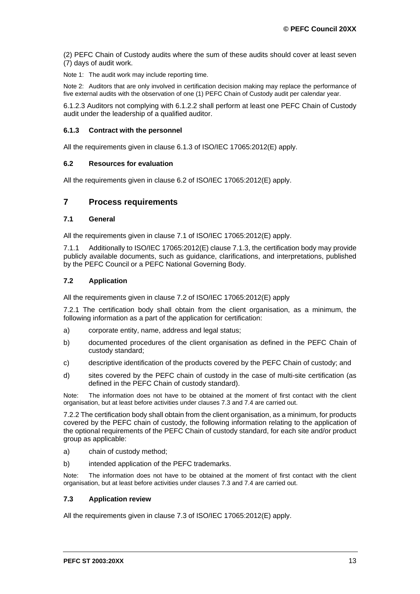(2) PEFC Chain of Custody audits where the sum of these audits should cover at least seven (7) days of audit work.

Note 1: The audit work may include reporting time.

Note 2: Auditors that are only involved in certification decision making may replace the performance of five external audits with the observation of one (1) PEFC Chain of Custody audit per calendar year.

6.1.2.3 Auditors not complying with 6.1.2.2 shall perform at least one PEFC Chain of Custody audit under the leadership of a qualified auditor.

### <span id="page-12-0"></span>**6.1.3 Contract with the personnel**

All the requirements given in clause 6.1.3 of ISO/IEC 17065:2012(E) apply.

#### <span id="page-12-1"></span>**6.2 Resources for evaluation**

All the requirements given in clause 6.2 of ISO/IEC 17065:2012(E) apply.

# <span id="page-12-2"></span>**7 Process requirements**

#### <span id="page-12-3"></span>**7.1 General**

All the requirements given in clause 7.1 of ISO/IEC 17065:2012(E) apply.

7.1.1 Additionally to ISO/IEC 17065:2012(E) clause 7.1.3, the certification body may provide publicly available documents, such as guidance, clarifications, and interpretations, published by the PEFC Council or a PEFC National Governing Body.

#### <span id="page-12-4"></span>**7.2 Application**

All the requirements given in clause 7.2 of ISO/IEC 17065:2012(E) apply

7.2.1 The certification body shall obtain from the client organisation, as a minimum, the following information as a part of the application for certification:

- a) corporate entity, name, address and legal status;
- b) documented procedures of the client organisation as defined in the PEFC Chain of custody standard;
- c) descriptive identification of the products covered by the PEFC Chain of custody; and
- d) sites covered by the PEFC chain of custody in the case of multi-site certification (as defined in the PEFC Chain of custody standard).

Note: The information does not have to be obtained at the moment of first contact with the client organisation, but at least before activities under clauses 7.3 and 7.4 are carried out.

7.2.2 The certification body shall obtain from the client organisation, as a minimum, for products covered by the PEFC chain of custody, the following information relating to the application of the optional requirements of the PEFC Chain of custody standard, for each site and/or product group as applicable:

- a) chain of custody method;
- b) intended application of the PEFC trademarks.

Note: The information does not have to be obtained at the moment of first contact with the client organisation, but at least before activities under clauses 7.3 and 7.4 are carried out.

#### <span id="page-12-5"></span>**7.3 Application review**

All the requirements given in clause 7.3 of ISO/IEC 17065:2012(E) apply.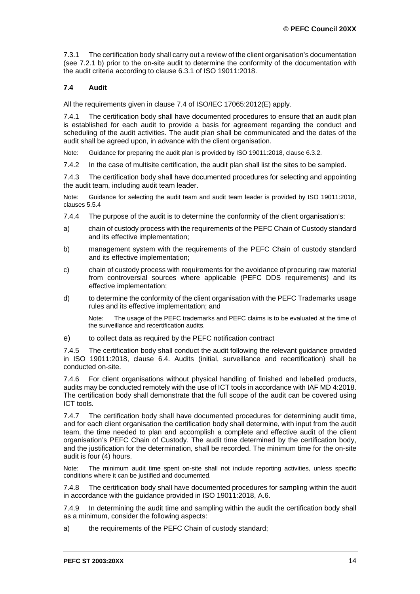7.3.1 The certification body shall carry out a review of the client organisation's documentation (see 7.2.1 b) prior to the on-site audit to determine the conformity of the documentation with the audit criteria according to clause 6.3.1 of ISO 19011:2018.

# <span id="page-13-0"></span>**7.4 Audit**

All the requirements given in clause 7.4 of ISO/IEC 17065:2012(E) apply.

7.4.1 The certification body shall have documented procedures to ensure that an audit plan is established for each audit to provide a basis for agreement regarding the conduct and scheduling of the audit activities. The audit plan shall be communicated and the dates of the audit shall be agreed upon, in advance with the client organisation.

Note: Guidance for preparing the audit plan is provided by ISO 19011:2018, clause 6.3.2.

7.4.2 In the case of multisite certification, the audit plan shall list the sites to be sampled.

7.4.3 The certification body shall have documented procedures for selecting and appointing the audit team, including audit team leader.

Note: Guidance for selecting the audit team and audit team leader is provided by ISO 19011:2018, clauses 5.5.4

- 7.4.4 The purpose of the audit is to determine the conformity of the client organisation's:
- a) chain of custody process with the requirements of the PEFC Chain of Custody standard and its effective implementation;
- b) management system with the requirements of the PEFC Chain of custody standard and its effective implementation;
- c) chain of custody process with requirements for the avoidance of procuring raw material from controversial sources where applicable (PEFC DDS requirements) and its effective implementation;
- d) to determine the conformity of the client organisation with the PEFC Trademarks usage rules and its effective implementation; and

Note: The usage of the PEFC trademarks and PEFC claims is to be evaluated at the time of the surveillance and recertification audits.

e) to collect data as required by the PEFC notification contract

7.4.5 The certification body shall conduct the audit following the relevant guidance provided in ISO 19011:2018, clause 6.4. Audits (initial, surveillance and recertification) shall be conducted on-site.

7.4.6 For client organisations without physical handling of finished and labelled products, audits may be conducted remotely with the use of ICT tools in accordance with IAF MD 4:2018. The certification body shall demonstrate that the full scope of the audit can be covered using ICT tools.

7.4.7 The certification body shall have documented procedures for determining audit time, and for each client organisation the certification body shall determine, with input from the audit team, the time needed to plan and accomplish a complete and effective audit of the client organisation's PEFC Chain of Custody. The audit time determined by the certification body, and the justification for the determination, shall be recorded. The minimum time for the on-site audit is four (4) hours.

Note: The minimum audit time spent on-site shall not include reporting activities, unless specific conditions where it can be justified and documented.

7.4.8 The certification body shall have documented procedures for sampling within the audit in accordance with the guidance provided in ISO 19011:2018, A.6.

7.4.9 In determining the audit time and sampling within the audit the certification body shall as a minimum, consider the following aspects:

a) the requirements of the PEFC Chain of custody standard;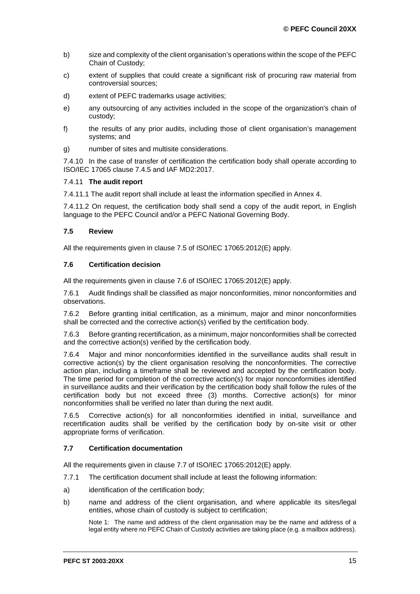- b) size and complexity of the client organisation's operations within the scope of the PEFC Chain of Custody;
- c) extent of supplies that could create a significant risk of procuring raw material from controversial sources;
- d) extent of PEFC trademarks usage activities;
- e) any outsourcing of any activities included in the scope of the organization's chain of custody;
- f) the results of any prior audits, including those of client organisation's management systems; and
- g) number of sites and multisite considerations.

7.4.10 In the case of transfer of certification the certification body shall operate according to ISO/IEC 17065 clause 7.4.5 and IAF MD2:2017.

#### 7.4.11 **The audit report**

7.4.11.1 The audit report shall include at least the information specified in Annex 4.

7.4.11.2 On request, the certification body shall send a copy of the audit report, in English language to the PEFC Council and/or a PEFC National Governing Body.

#### <span id="page-14-0"></span>**7.5 Review**

All the requirements given in clause 7.5 of ISO/IEC 17065:2012(E) apply.

#### <span id="page-14-1"></span>**7.6 Certification decision**

All the requirements given in clause 7.6 of ISO/IEC 17065:2012(E) apply.

7.6.1 Audit findings shall be classified as major nonconformities, minor nonconformities and observations.

7.6.2 Before granting initial certification, as a minimum, major and minor nonconformities shall be corrected and the corrective action(s) verified by the certification body.

7.6.3 Before granting recertification, as a minimum, major nonconformities shall be corrected and the corrective action(s) verified by the certification body.

7.6.4 Major and minor nonconformities identified in the surveillance audits shall result in corrective action(s) by the client organisation resolving the nonconformities. The corrective action plan, including a timeframe shall be reviewed and accepted by the certification body. The time period for completion of the corrective action(s) for major nonconformities identified in surveillance audits and their verification by the certification body shall follow the rules of the certification body but not exceed three (3) months. Corrective action(s) for minor nonconformities shall be verified no later than during the next audit.

7.6.5 Corrective action(s) for all nonconformities identified in initial, surveillance and recertification audits shall be verified by the certification body by on-site visit or other appropriate forms of verification.

#### <span id="page-14-2"></span>**7.7 Certification documentation**

All the requirements given in clause 7.7 of ISO/IEC 17065:2012(E) apply.

- 7.7.1 The certification document shall include at least the following information:
- a) identification of the certification body;
- b) name and address of the client organisation, and where applicable its sites/legal entities, whose chain of custody is subject to certification;

Note 1: The name and address of the client organisation may be the name and address of a legal entity where no PEFC Chain of Custody activities are taking place (e.g. a mailbox address).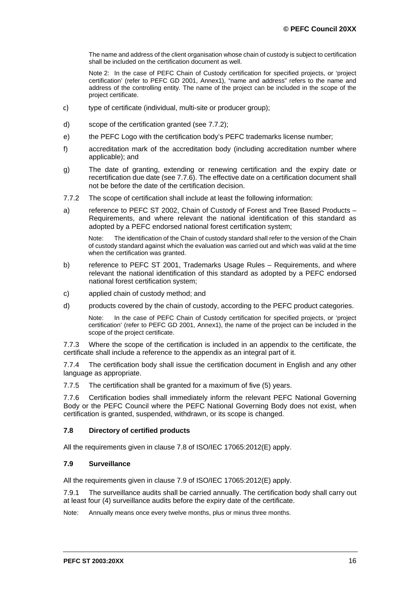The name and address of the client organisation whose chain of custody is subject to certification shall be included on the certification document as well.

Note 2: In the case of PEFC Chain of Custody certification for specified projects, or 'project certification' (refer to PEFC GD 2001, Annex1), "name and address" refers to the name and address of the controlling entity. The name of the project can be included in the scope of the project certificate.

- c) type of certificate (individual, multi-site or producer group);
- d) scope of the certification granted (see 7.7.2);
- e) the PEFC Logo with the certification body's PEFC trademarks license number;
- f) accreditation mark of the accreditation body (including accreditation number where applicable); and
- g) The date of granting, extending or renewing certification and the expiry date or recertification due date (see 7.7.6). The effective date on a certification document shall not be before the date of the certification decision.
- 7.7.2 The scope of certification shall include at least the following information:
- a) reference to PEFC ST 2002, Chain of Custody of Forest and Tree Based Products Requirements, and where relevant the national identification of this standard as adopted by a PEFC endorsed national forest certification system;

Note: The identification of the Chain of custody standard shall refer to the version of the Chain of custody standard against which the evaluation was carried out and which was valid at the time when the certification was granted.

- b) reference to PEFC ST 2001, Trademarks Usage Rules Requirements, and where relevant the national identification of this standard as adopted by a PEFC endorsed national forest certification system;
- c) applied chain of custody method; and
- d) products covered by the chain of custody, according to the PEFC product categories.

Note: In the case of PEFC Chain of Custody certification for specified projects, or 'project certification' (refer to PEFC GD 2001, Annex1), the name of the project can be included in the scope of the project certificate.

7.7.3 Where the scope of the certification is included in an appendix to the certificate, the certificate shall include a reference to the appendix as an integral part of it.

7.7.4 The certification body shall issue the certification document in English and any other language as appropriate.

7.7.5 The certification shall be granted for a maximum of five (5) years.

7.7.6 Certification bodies shall immediately inform the relevant PEFC National Governing Body or the PEFC Council where the PEFC National Governing Body does not exist, when certification is granted, suspended, withdrawn, or its scope is changed.

#### <span id="page-15-0"></span>**7.8 Directory of certified products**

All the requirements given in clause 7.8 of ISO/IEC 17065:2012(E) apply.

#### <span id="page-15-1"></span>**7.9 Surveillance**

All the requirements given in clause 7.9 of ISO/IEC 17065:2012(E) apply.

7.9.1 The surveillance audits shall be carried annually. The certification body shall carry out at least four (4) surveillance audits before the expiry date of the certificate.

Note: Annually means once every twelve months, plus or minus three months.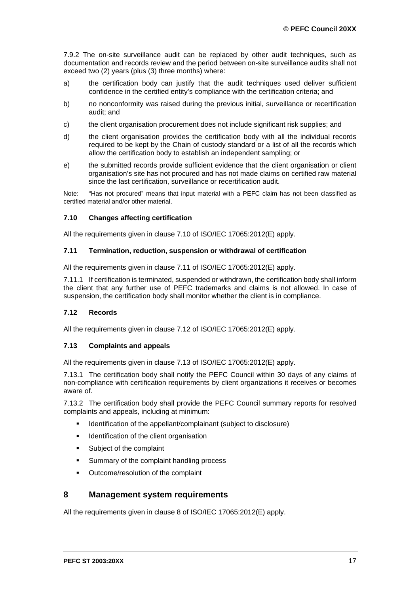7.9.2 The on-site surveillance audit can be replaced by other audit techniques, such as documentation and records review and the period between on-site surveillance audits shall not exceed two (2) years (plus (3) three months) where:

- a) the certification body can justify that the audit techniques used deliver sufficient confidence in the certified entity's compliance with the certification criteria; and
- b) no nonconformity was raised during the previous initial, surveillance or recertification audit; and
- c) the client organisation procurement does not include significant risk supplies; and
- d) the client organisation provides the certification body with all the individual records required to be kept by the Chain of custody standard or a list of all the records which allow the certification body to establish an independent sampling; or
- e) the submitted records provide sufficient evidence that the client organisation or client organisation's site has not procured and has not made claims on certified raw material since the last certification, surveillance or recertification audit.

Note: "Has not procured" means that input material with a PEFC claim has not been classified as certified material and/or other material.

#### <span id="page-16-0"></span>**7.10 Changes affecting certification**

All the requirements given in clause 7.10 of ISO/IEC 17065:2012(E) apply.

### <span id="page-16-1"></span>**7.11 Termination, reduction, suspension or withdrawal of certification**

All the requirements given in clause 7.11 of ISO/IEC 17065:2012(E) apply.

7.11.1 If certification is terminated, suspended or withdrawn, the certification body shall inform the client that any further use of PEFC trademarks and claims is not allowed. In case of suspension, the certification body shall monitor whether the client is in compliance.

#### <span id="page-16-2"></span>**7.12 Records**

All the requirements given in clause 7.12 of ISO/IEC 17065:2012(E) apply.

#### <span id="page-16-3"></span>**7.13 Complaints and appeals**

All the requirements given in clause 7.13 of ISO/IEC 17065:2012(E) apply.

7.13.1 The certification body shall notify the PEFC Council within 30 days of any claims of non-compliance with certification requirements by client organizations it receives or becomes aware of.

7.13.2 The certification body shall provide the PEFC Council summary reports for resolved complaints and appeals, including at minimum:

- Identification of the appellant/complainant (subject to disclosure)
- Identification of the client organisation
- **Subject of the complaint**
- **Summary of the complaint handling process**
- Outcome/resolution of the complaint

# <span id="page-16-4"></span>**8 Management system requirements**

All the requirements given in clause 8 of ISO/IEC 17065:2012(E) apply.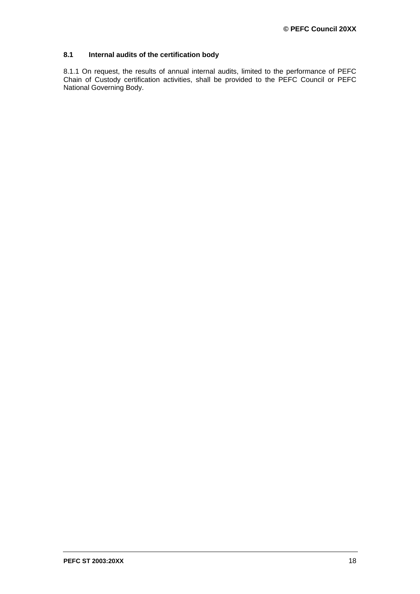# <span id="page-17-0"></span>**8.1 Internal audits of the certification body**

8.1.1 On request, the results of annual internal audits, limited to the performance of PEFC Chain of Custody certification activities, shall be provided to the PEFC Council or PEFC National Governing Body.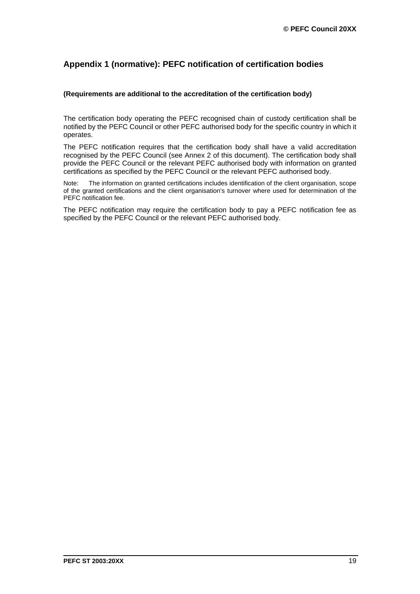# <span id="page-18-0"></span>**Appendix 1 (normative): PEFC notification of certification bodies**

### **(Requirements are additional to the accreditation of the certification body)**

The certification body operating the PEFC recognised chain of custody certification shall be notified by the PEFC Council or other PEFC authorised body for the specific country in which it operates.

The PEFC notification requires that the certification body shall have a valid accreditation recognised by the PEFC Council (see Annex 2 of this document). The certification body shall provide the PEFC Council or the relevant PEFC authorised body with information on granted certifications as specified by the PEFC Council or the relevant PEFC authorised body.

Note: The information on granted certifications includes identification of the client organisation, scope of the granted certifications and the client organisation's turnover where used for determination of the PEFC notification fee.

The PEFC notification may require the certification body to pay a PEFC notification fee as specified by the PEFC Council or the relevant PEFC authorised body.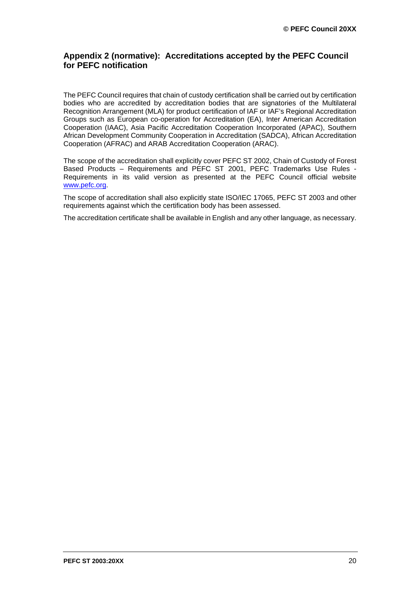# <span id="page-19-0"></span>**Appendix 2 (normative): Accreditations accepted by the PEFC Council for PEFC notification**

The PEFC Council requires that chain of custody certification shall be carried out by certification bodies who are accredited by accreditation bodies that are signatories of the Multilateral Recognition Arrangement (MLA) for product certification of IAF or IAF's Regional Accreditation Groups such as European co-operation for Accreditation (EA), Inter American Accreditation Cooperation (IAAC), Asia Pacific Accreditation Cooperation Incorporated (APAC), Southern African Development Community Cooperation in Accreditation (SADCA), [African Accreditation](http://www.intra-afrac.org/)  [Cooperation \(AFRAC\)](http://www.intra-afrac.org/) and ARAB Accreditation Cooperation (ARAC).

The scope of the accreditation shall explicitly cover PEFC ST 2002, Chain of Custody of Forest Based Products – Requirements and PEFC ST 2001, PEFC Trademarks Use Rules - Requirements in its valid version as presented at the PEFC Council official website [www.pefc.org.](http://www.pefc.org/)

The scope of accreditation shall also explicitly state ISO/IEC 17065, PEFC ST 2003 and other requirements against which the certification body has been assessed.

The accreditation certificate shall be available in English and any other language, as necessary.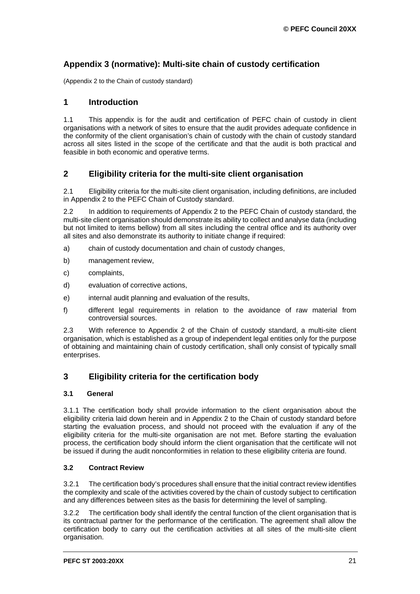# <span id="page-20-0"></span>**Appendix 3 (normative): Multi-site chain of custody certification**

(Appendix 2 to the Chain of custody standard)

# <span id="page-20-1"></span>**1 Introduction**

1.1 This appendix is for the audit and certification of PEFC chain of custody in client organisations with a network of sites to ensure that the audit provides adequate confidence in the conformity of the client organisation's chain of custody with the chain of custody standard across all sites listed in the scope of the certificate and that the audit is both practical and feasible in both economic and operative terms.

# <span id="page-20-2"></span>**2 Eligibility criteria for the multi-site client organisation**

2.1 Eligibility criteria for the multi-site client organisation, including definitions, are included in Appendix 2 to the PEFC Chain of Custody standard.

2.2 In addition to requirements of Appendix 2 to the PEFC Chain of custody standard, the multi-site client organisation should demonstrate its ability to collect and analyse data (including but not limited to items bellow) from all sites including the central office and its authority over all sites and also demonstrate its authority to initiate change if required:

- a) chain of custody documentation and chain of custody changes,
- b) management review,
- c) complaints,
- d) evaluation of corrective actions,
- e) internal audit planning and evaluation of the results,
- f) different legal requirements in relation to the avoidance of raw material from controversial sources.

2.3 With reference to Appendix 2 of the Chain of custody standard, a multi-site client organisation, which is established as a group of independent legal entities only for the purpose of obtaining and maintaining chain of custody certification, shall only consist of typically small enterprises.

# <span id="page-20-3"></span>**3 Eligibility criteria for the certification body**

# <span id="page-20-4"></span>**3.1 General**

3.1.1 The certification body shall provide information to the client organisation about the eligibility criteria laid down herein and in Appendix 2 to the Chain of custody standard before starting the evaluation process, and should not proceed with the evaluation if any of the eligibility criteria for the multi-site organisation are not met. Before starting the evaluation process, the certification body should inform the client organisation that the certificate will not be issued if during the audit nonconformities in relation to these eligibility criteria are found.

# <span id="page-20-5"></span>**3.2 Contract Review**

3.2.1 The certification body's procedures shall ensure that the initial contract review identifies the complexity and scale of the activities covered by the chain of custody subject to certification and any differences between sites as the basis for determining the level of sampling.

3.2.2 The certification body shall identify the central function of the client organisation that is its contractual partner for the performance of the certification. The agreement shall allow the certification body to carry out the certification activities at all sites of the multi-site client organisation.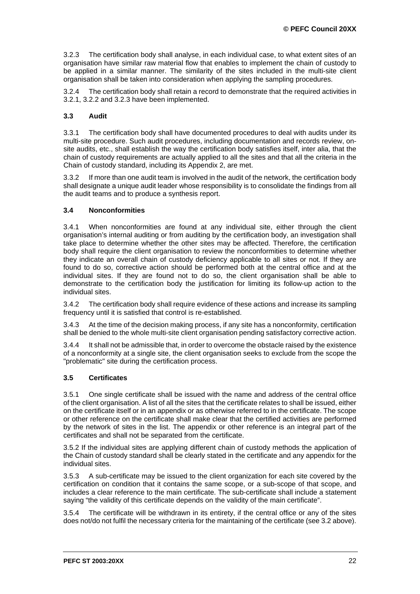3.2.3 The certification body shall analyse, in each individual case, to what extent sites of an organisation have similar raw material flow that enables to implement the chain of custody to be applied in a similar manner. The similarity of the sites included in the multi-site client organisation shall be taken into consideration when applying the sampling procedures.

3.2.4 The certification body shall retain a record to demonstrate that the required activities in 3.2.1, 3.2.2 and 3.2.3 have been implemented.

# <span id="page-21-0"></span>**3.3 Audit**

3.3.1 The certification body shall have documented procedures to deal with audits under its multi-site procedure. Such audit procedures, including documentation and records review, onsite audits, etc., shall establish the way the certification body satisfies itself, inter alia, that the chain of custody requirements are actually applied to all the sites and that all the criteria in the Chain of custody standard, including its Appendix 2, are met.

3.3.2 If more than one audit team is involved in the audit of the network, the certification body shall designate a unique audit leader whose responsibility is to consolidate the findings from all the audit teams and to produce a synthesis report.

# <span id="page-21-1"></span>**3.4 Nonconformities**

3.4.1 When nonconformities are found at any individual site, either through the client organisation's internal auditing or from auditing by the certification body, an investigation shall take place to determine whether the other sites may be affected. Therefore, the certification body shall require the client organisation to review the nonconformities to determine whether they indicate an overall chain of custody deficiency applicable to all sites or not. If they are found to do so, corrective action should be performed both at the central office and at the individual sites. If they are found not to do so, the client organisation shall be able to demonstrate to the certification body the justification for limiting its follow-up action to the individual sites.

3.4.2 The certification body shall require evidence of these actions and increase its sampling frequency until it is satisfied that control is re-established.

3.4.3 At the time of the decision making process, if any site has a nonconformity, certification shall be denied to the whole multi-site client organisation pending satisfactory corrective action.

3.4.4 It shall not be admissible that, in order to overcome the obstacle raised by the existence of a nonconformity at a single site, the client organisation seeks to exclude from the scope the "problematic" site during the certification process.

# <span id="page-21-2"></span>**3.5 Certificates**

3.5.1 One single certificate shall be issued with the name and address of the central office of the client organisation. A list of all the sites that the certificate relates to shall be issued, either on the certificate itself or in an appendix or as otherwise referred to in the certificate. The scope or other reference on the certificate shall make clear that the certified activities are performed by the network of sites in the list. The appendix or other reference is an integral part of the certificates and shall not be separated from the certificate.

3.5.2 If the individual sites are applying different chain of custody methods the application of the Chain of custody standard shall be clearly stated in the certificate and any appendix for the individual sites.

3.5.3 A sub-certificate may be issued to the client organization for each site covered by the certification on condition that it contains the same scope, or a sub-scope of that scope, and includes a clear reference to the main certificate. The sub-certificate shall include a statement saying "the validity of this certificate depends on the validity of the main certificate".

3.5.4 The certificate will be withdrawn in its entirety, if the central office or any of the sites does not/do not fulfil the necessary criteria for the maintaining of the certificate (see 3.2 above).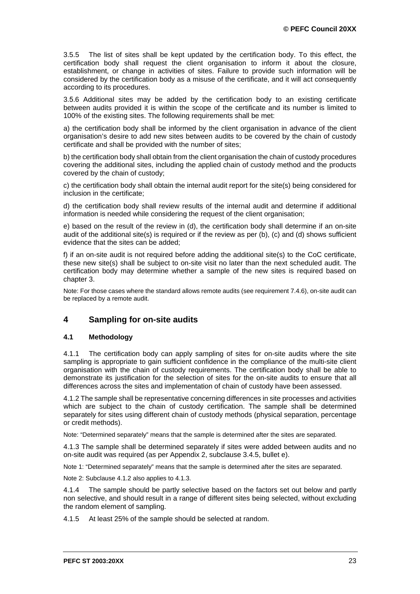3.5.5 The list of sites shall be kept updated by the certification body. To this effect, the certification body shall request the client organisation to inform it about the closure, establishment, or change in activities of sites. Failure to provide such information will be considered by the certification body as a misuse of the certificate, and it will act consequently according to its procedures.

3.5.6 Additional sites may be added by the certification body to an existing certificate between audits provided it is within the scope of the certificate and its number is limited to 100% of the existing sites. The following requirements shall be met:

a) the certification body shall be informed by the client organisation in advance of the client organisation's desire to add new sites between audits to be covered by the chain of custody certificate and shall be provided with the number of sites;

b) the certification body shall obtain from the client organisation the chain of custody procedures covering the additional sites, including the applied chain of custody method and the products covered by the chain of custody;

c) the certification body shall obtain the internal audit report for the site(s) being considered for inclusion in the certificate;

d) the certification body shall review results of the internal audit and determine if additional information is needed while considering the request of the client organisation;

e) based on the result of the review in (d), the certification body shall determine if an on-site audit of the additional site(s) is required or if the review as per (b), (c) and (d) shows sufficient evidence that the sites can be added;

f) if an on-site audit is not required before adding the additional site(s) to the CoC certificate, these new site(s) shall be subject to on-site visit no later than the next scheduled audit. The certification body may determine whether a sample of the new sites is required based on chapter 3.

Note: For those cases where the standard allows remote audits (see requirement 7.4.6), on-site audit can be replaced by a remote audit.

# <span id="page-22-0"></span>**4 Sampling for on-site audits**

# <span id="page-22-1"></span>**4.1 Methodology**

4.1.1 The certification body can apply sampling of sites for on-site audits where the site sampling is appropriate to gain sufficient confidence in the compliance of the multi-site client organisation with the chain of custody requirements. The certification body shall be able to demonstrate its justification for the selection of sites for the on-site audits to ensure that all differences across the sites and implementation of chain of custody have been assessed.

4.1.2 The sample shall be representative concerning differences in site processes and activities which are subject to the chain of custody certification. The sample shall be determined separately for sites using different chain of custody methods (physical separation, percentage or credit methods).

Note: "Determined separately" means that the sample is determined after the sites are separated.

4.1.3 The sample shall be determined separately if sites were added between audits and no on-site audit was required (as per Appendix 2, subclause 3.4.5, bullet e).

Note 1: "Determined separately" means that the sample is determined after the sites are separated.

Note 2: Subclause 4.1.2 also applies to 4.1.3.

4.1.4 The sample should be partly selective based on the factors set out below and partly non selective, and should result in a range of different sites being selected, without excluding the random element of sampling.

4.1.5 At least 25% of the sample should be selected at random.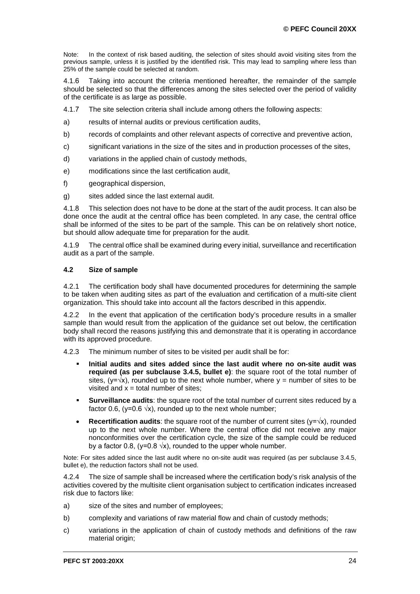Note: In the context of risk based auditing, the selection of sites should avoid visiting sites from the previous sample, unless it is justified by the identified risk. This may lead to sampling where less than 25% of the sample could be selected at random.

4.1.6 Taking into account the criteria mentioned hereafter, the remainder of the sample should be selected so that the differences among the sites selected over the period of validity of the certificate is as large as possible.

- 4.1.7 The site selection criteria shall include among others the following aspects:
- a) results of internal audits or previous certification audits,
- b) records of complaints and other relevant aspects of corrective and preventive action,
- c) significant variations in the size of the sites and in production processes of the sites,
- d) variations in the applied chain of custody methods,
- e) modifications since the last certification audit,
- f) geographical dispersion,
- g) sites added since the last external audit.

4.1.8 This selection does not have to be done at the start of the audit process. It can also be done once the audit at the central office has been completed. In any case, the central office shall be informed of the sites to be part of the sample. This can be on relatively short notice, but should allow adequate time for preparation for the audit.

4.1.9 The central office shall be examined during every initial, surveillance and recertification audit as a part of the sample.

#### <span id="page-23-0"></span>**4.2 Size of sample**

4.2.1 The certification body shall have documented procedures for determining the sample to be taken when auditing sites as part of the evaluation and certification of a multi-site client organization. This should take into account all the factors described in this appendix.

4.2.2 In the event that application of the certification body's procedure results in a smaller sample than would result from the application of the guidance set out below, the certification body shall record the reasons justifying this and demonstrate that it is operating in accordance with its approved procedure.

4.2.3 The minimum number of sites to be visited per audit shall be for:

- **Initial audits and sites added since the last audit where no on-site audit was required (as per subclause 3.4.5, bullet e)**: the square root of the total number of sites,  $(y=yx)$ , rounded up to the next whole number, where  $y =$  number of sites to be visited and  $x =$  total number of sites:
- **Surveillance audits**: the square root of the total number of current sites reduced by a factor 0.6, (y=0.6  $\sqrt{x}$ ), rounded up to the next whole number;
- **Recertification audits:** the square root of the number of current sites ( $y = \sqrt{x}$ ), rounded up to the next whole number. Where the central office did not receive any major nonconformities over the certification cycle, the size of the sample could be reduced by a factor 0.8, (y=0.8  $\sqrt{x}$ ), rounded to the upper whole number.

Note: For sites added since the last audit where no on-site audit was required (as per subclause 3.4.5, bullet e), the reduction factors shall not be used.

4.2.4 The size of sample shall be increased where the certification body's risk analysis of the activities covered by the multisite client organisation subject to certification indicates increased risk due to factors like:

- a) size of the sites and number of employees;
- b) complexity and variations of raw material flow and chain of custody methods;
- c) variations in the application of chain of custody methods and definitions of the raw material origin;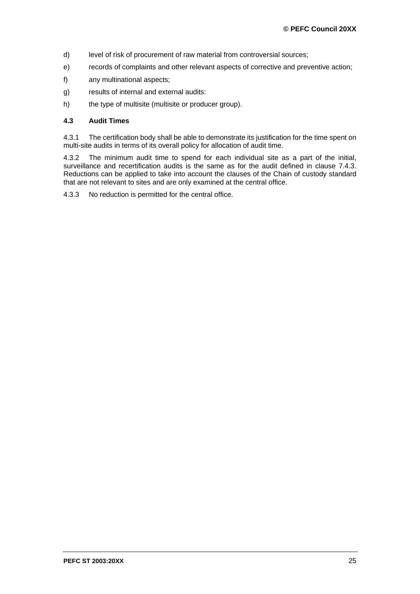- d) level of risk of procurement of raw material from controversial sources;
- e) records of complaints and other relevant aspects of corrective and preventive action;
- f) any multinational aspects;
- g) results of internal and external audits:
- h) the type of multisite (multisite or producer group).

#### <span id="page-24-0"></span>**4.3 Audit Times**

4.3.1 The certification body shall be able to demonstrate its justification for the time spent on multi-site audits in terms of its overall policy for allocation of audit time.

4.3.2 The minimum audit time to spend for each individual site as a part of the initial, surveillance and recertification audits is the same as for the audit defined in clause 7.4.3. Reductions can be applied to take into account the clauses of the Chain of custody standard that are not relevant to sites and are only examined at the central office.

4.3.3 No reduction is permitted for the central office.